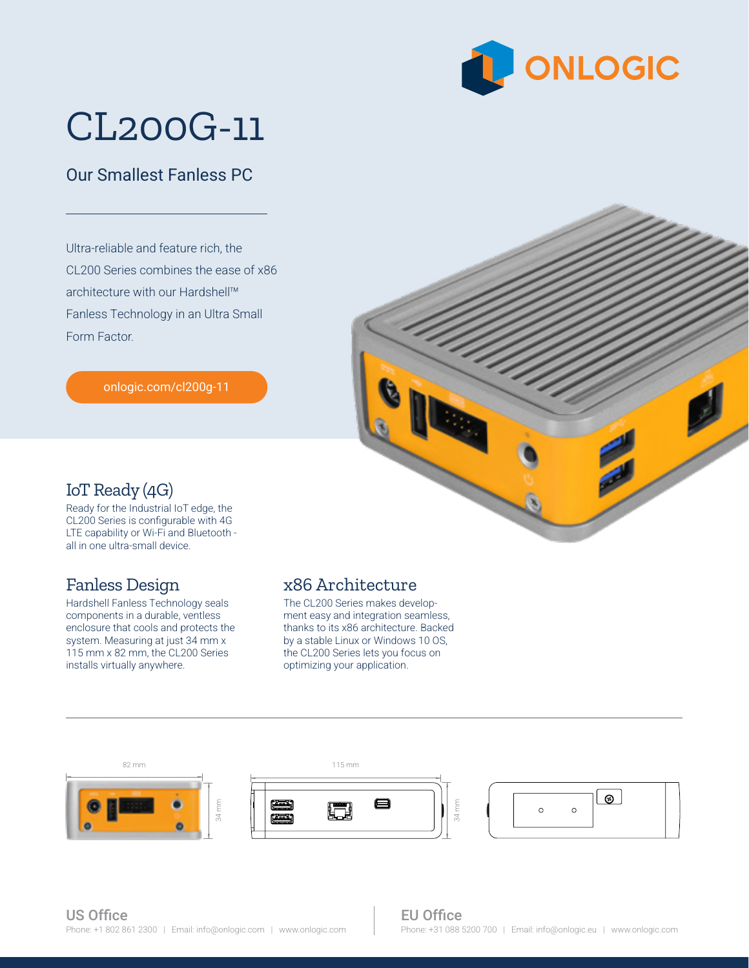

# CL200G-11

### Our Smallest Fanless PC

Ultra-reliable and feature rich, the CL200 Series combines the ease of x86 architecture with our Hardshell™ Fanless Technology in an Ultra Small Form Factor.

[onlogic.com/cl200g-11](https://www.onlogic.com/cl200g-11/)



#### IoT Ready (4G)

Ready for the Industrial IoT edge, the CL200 Series is configurable with 4G LTE capability or Wi-Fi and Bluetooth all in one ultra-small device.

#### Fanless Design

Hardshell Fanless Technology seals components in a durable, ventless enclosure that cools and protects the system. Measuring at just 34 mm x 115 mm x 82 mm, the CL200 Series installs virtually anywhere.

#### x86 Architecture

optimizing your application. The CL200 Series makes development easy and integration seamless, thanks to its x86 architecture. Backed by a stable Linux or Windows 10 OS, the CL200 Series lets you focus on



34 mm

#### EU Office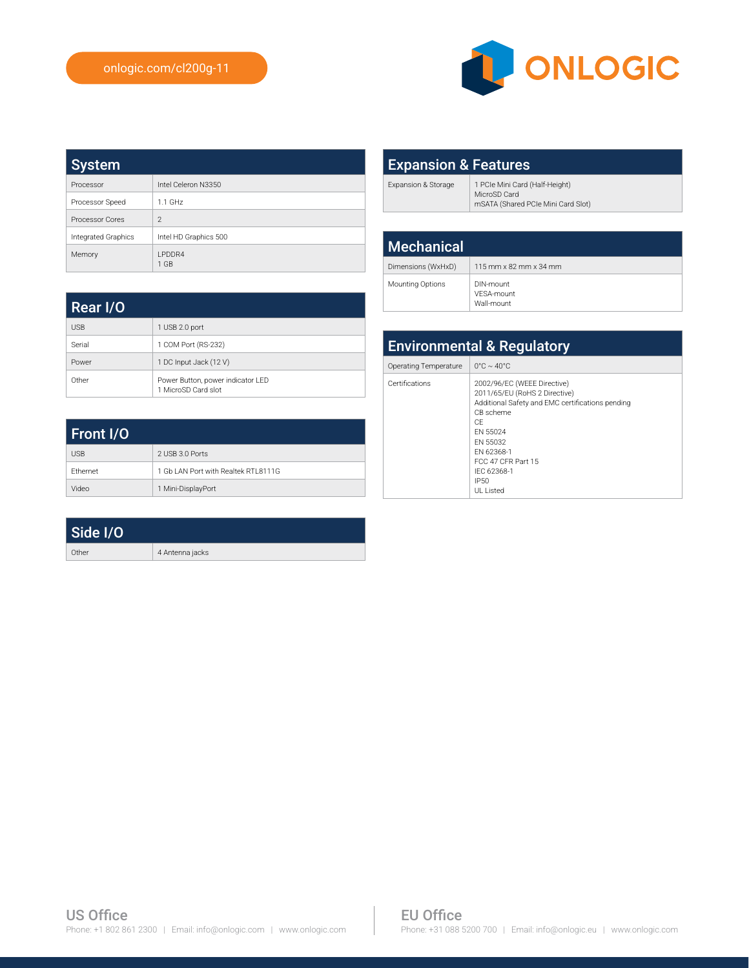

| System              |                          |
|---------------------|--------------------------|
| Processor           | Intel Celeron N3350      |
| Processor Speed     | $1.1$ GHz                |
| Processor Cores     | $\mathfrak{D}$           |
| Integrated Graphics | Intel HD Graphics 500    |
| Memory              | <b>I PDDR4</b><br>$1$ GB |

| <b>Expansion &amp; Features</b> |                                                                                      |  |
|---------------------------------|--------------------------------------------------------------------------------------|--|
| Expansion & Storage             | 1 PCIe Mini Card (Half-Height)<br>MicroSD Card<br>mSATA (Shared PCIe Mini Card Slot) |  |
|                                 |                                                                                      |  |
| <b>Mechanical</b>               |                                                                                      |  |
| Dimensions (WxHxD)              | 115 mm x 82 mm x 34 mm                                                               |  |

DIN-mount<br>VESA-mount Wall-mount

Mounting Options

| Rear I/O   |                                                          |
|------------|----------------------------------------------------------|
| <b>USB</b> | 1 USB 2.0 port                                           |
| Serial     | 1 COM Port (RS-232)                                      |
| Power      | 1 DC Input Jack (12 V)                                   |
| Other      | Power Button, power indicator LED<br>1 MicroSD Card slot |

| Front I/O       |                                      |
|-----------------|--------------------------------------|
| <b>USB</b>      | 2 USB 3.0 Ports                      |
| <b>Fthernet</b> | 1 Gb LAN Port with Realtek RTI 8111G |
| Video           | 1 Mini-DisplayPort                   |

| Side I/O |                 |
|----------|-----------------|
| Other    | 4 Antenna jacks |

| <b>Environmental &amp; Regulatory</b> |                                                                                                                                                                                                                                     |  |
|---------------------------------------|-------------------------------------------------------------------------------------------------------------------------------------------------------------------------------------------------------------------------------------|--|
| Operating Temperature                 | $0^{\circ}$ C ~ 40 $^{\circ}$ C                                                                                                                                                                                                     |  |
| Certifications                        | 2002/96/EC (WEEE Directive)<br>2011/65/EU (RoHS 2 Directive)<br>Additional Safety and EMC certifications pending<br>CB scheme<br>CF<br>FN 55024<br>FN 55032<br>FN 62368-1<br>FCC 47 CFR Part 15<br>IFC 62368-1<br>IP50<br>UI Listed |  |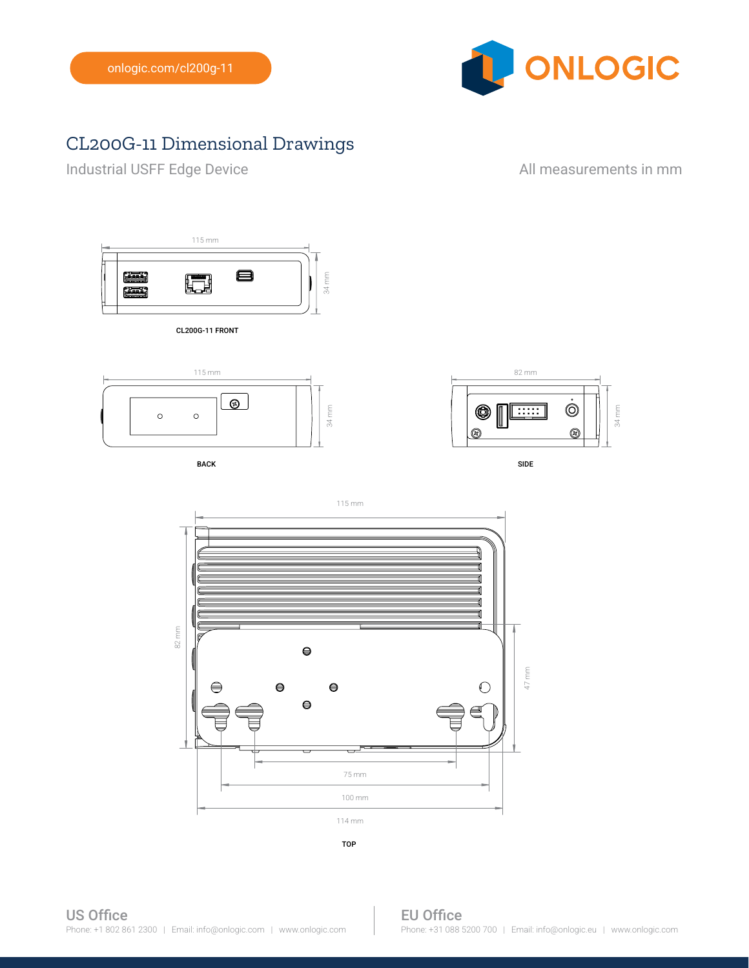

## CL200G-11 Dimensional Drawings

Industrial USFF Edge Device **All measurements in mm** 



CL200G-11 FRONT



BACK SIDE AND INTERNATIONAL SERVICES OF THE SIDE OF THE SIDE OF THE SIDE OF THE SIDE OF THE SIDE OF THE SIDE O